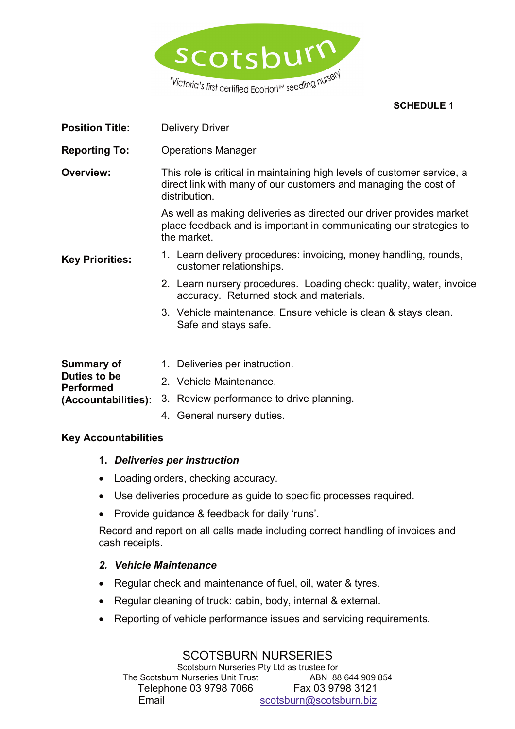

### **SCHEDULE 1**

- **Position Title:** Delivery Driver
- **Reporting To:** Operations Manager

**Overview:** This role is critical in maintaining high levels of customer service, a direct link with many of our customers and managing the cost of distribution.

> As well as making deliveries as directed our driver provides market place feedback and is important in communicating our strategies to the market.

- **Key Priorities:** 1. Learn delivery procedures: invoicing, money handling, rounds, customer relationships.
	- 2. Learn nursery procedures. Loading check: quality, water, invoice accuracy. Returned stock and materials.
	- 3. Vehicle maintenance. Ensure vehicle is clean & stays clean. Safe and stays safe.

| Summary of                       | 1. Deliveries per instruction.                               |
|----------------------------------|--------------------------------------------------------------|
| Duties to be<br><b>Performed</b> | 2. Vehicle Maintenance.                                      |
|                                  | (Accountabilities): 3. Review performance to drive planning. |
|                                  | 4. General nursery duties.                                   |

### **Key Accountabilities**

### **1.** *Deliveries per instruction*

- Loading orders, checking accuracy.
- Use deliveries procedure as guide to specific processes required.
- Provide guidance & feedback for daily 'runs'.

Record and report on all calls made including correct handling of invoices and cash receipts.

### *2. Vehicle Maintenance*

- Regular check and maintenance of fuel, oil, water & tyres.
- Regular cleaning of truck: cabin, body, internal & external.
- Reporting of vehicle performance issues and servicing requirements.

# SCOTSBURN NURSERIES

Scotsburn Nurseries Pty Ltd as trustee for<br>1 Nurseries Unit Trust ABN 88 644 909 854 The Scotsburn Nurseries Unit Trust Telephone 03 9798 7066 Fax 03 9798 3121 Email scotsburn@scotsburn.biz